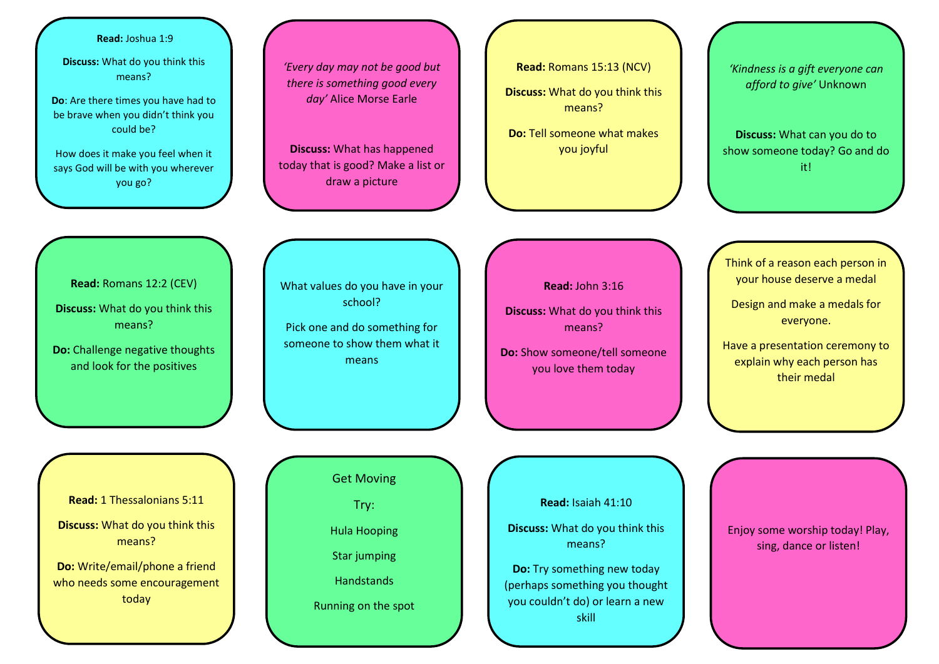## **Read:** Joshua 1:9

**Discuss:** What do you think this means?

**Do**: Are there times you have had to be brave when you didn't think you could be?

How does it make you feel when it says God will be with you wherever you go?

*'Every day may not be good but there is something good every day'* Alice Morse Earle

**Discuss:** What has happened today that is good? Make a list or draw a picture

**Read:** Romans 15:13 (NCV) **Discuss:** What do you think this means?

**Do:** Tell someone what makes you joyful

*'Kindness is a gift everyone can afford to give'* Unknown

**Discuss:** What can you do to show someone today? Go and do it!

Think of a reason each person in your house deserve a medal

Design and make a medals for everyone.

Have a presentation ceremony to explain why each person has their medal

**Read:** Romans 12:2 (CEV) **Discuss:** What do you think this

means?

**Do:** Challenge negative thoughts and look for the positives

What values do you have in your school?

Pick one and do something for someone to show them what it means

**Read:** John 3:16

**Discuss:** What do you think this means?

**Do:** Show someone/tell someone you love them today

**Read:** 1 Thessalonians 5:11

**Discuss:** What do you think this means?

**Do:** Write/email/phone a friend who needs some encouragement today

Get Moving

Try:

Hula Hooping

Star jumping

**Handstands** 

Running on the spot

**Read:** Isaiah 41:10

**Discuss:** What do you think this means?

**Do:** Try something new today (perhaps something you thought you couldn't do) or learn a new skill

Enjoy some worship today! Play, sing, dance or listen!